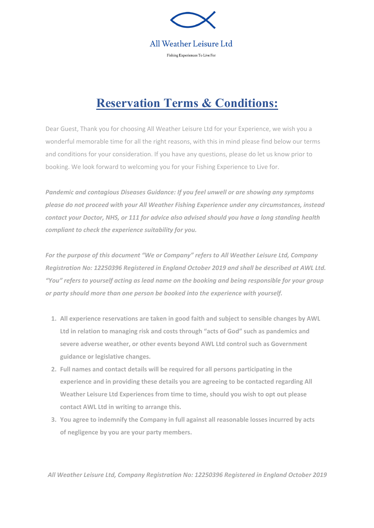

# **Reservation Terms & Conditions:**

Dear Guest, Thank you for choosing All Weather Leisure Ltd for your Experience, we wish you a wonderful memorable time for all the right reasons, with this in mind please find below our terms and conditions for your consideration. If you have any questions, please do let us know prior to booking. We look forward to welcoming you for your Fishing Experience to Live for.

*Pandemic and contagious Diseases Guidance: If you feel unwell or are showing any symptoms please do not proceed with your All Weather Fishing Experience under any circumstances, instead contact your Doctor, NHS, or 111 for advice also advised should you have a long standing health compliant to check the experience suitability for you.*

*For the purpose of this document "We or Company" refers to All Weather Leisure Ltd, Company Registration No: 12250396 Registered in England October 2019 and shall be described at AWL Ltd. "You" refers to yourself acting as lead name on the booking and being responsible for your group or party should more than one person be booked into the experience with yourself.*

- **1. All experience reservations are taken in good faith and subject to sensible changes by AWL Ltd in relation to managing risk and costs through "acts of God" such as pandemics and severe adverse weather, or other events beyond AWL Ltd control such as Government guidance or legislative changes.**
- **2. Full names and contact details will be required for all persons participating in the experience and in providing these details you are agreeing to be contacted regarding All Weather Leisure Ltd Experiences from time to time, should you wish to opt out please contact AWL Ltd in writing to arrange this.**
- **3. You agree to indemnify the Company in full against all reasonable losses incurred by acts of negligence by you are your party members.**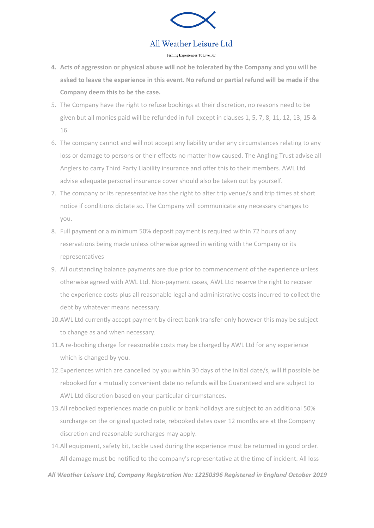

## All Weather Leisure Ltd

#### Fishing Experiences To Live For

- **4. Acts of aggression or physical abuse will not be tolerated by the Company and you will be asked to leave the experience in this event. No refund or partial refund will be made if the Company deem this to be the case.**
- 5. The Company have the right to refuse bookings at their discretion, no reasons need to be given but all monies paid will be refunded in full except in clauses 1, 5, 7, 8, 11, 12, 13, 15 & 16.
- 6. The company cannot and will not accept any liability under any circumstances relating to any loss or damage to persons or their effects no matter how caused. The Angling Trust advise all Anglers to carry Third Party Liability insurance and offer this to their members. AWL Ltd advise adequate personal insurance cover should also be taken out by yourself.
- 7. The company or its representative has the right to alter trip venue/s and trip times at short notice if conditions dictate so. The Company will communicate any necessary changes to you.
- 8. Full payment or a minimum 50% deposit payment is required within 72 hours of any reservations being made unless otherwise agreed in writing with the Company or its representatives
- 9. All outstanding balance payments are due prior to commencement of the experience unless otherwise agreed with AWL Ltd. Non-payment cases, AWL Ltd reserve the right to recover the experience costs plus all reasonable legal and administrative costs incurred to collect the debt by whatever means necessary.
- 10.AWL Ltd currently accept payment by direct bank transfer only however this may be subject to change as and when necessary.
- 11.A re-booking charge for reasonable costs may be charged by AWL Ltd for any experience which is changed by you.
- 12.Experiences which are cancelled by you within 30 days of the initial date/s, will if possible be rebooked for a mutually convenient date no refunds will be Guaranteed and are subject to AWL Ltd discretion based on your particular circumstances.
- 13.All rebooked experiences made on public or bank holidays are subject to an additional 50% surcharge on the original quoted rate, rebooked dates over 12 months are at the Company discretion and reasonable surcharges may apply.
- 14.All equipment, safety kit, tackle used during the experience must be returned in good order. All damage must be notified to the company's representative at the time of incident. All loss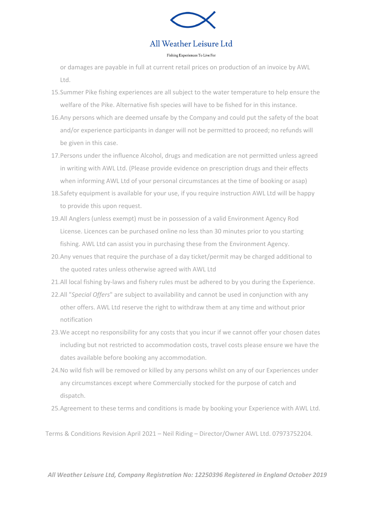

## All Weather Leisure Ltd

### Fishing Experiences To Live For

or damages are payable in full at current retail prices on production of an invoice by AWL Ltd.

- 15.Summer Pike fishing experiences are all subject to the water temperature to help ensure the welfare of the Pike. Alternative fish species will have to be fished for in this instance.
- 16.Any persons which are deemed unsafe by the Company and could put the safety of the boat and/or experience participants in danger will not be permitted to proceed; no refunds will be given in this case.
- 17.Persons under the influence Alcohol, drugs and medication are not permitted unless agreed in writing with AWL Ltd. (Please provide evidence on prescription drugs and their effects when informing AWL Ltd of your personal circumstances at the time of booking or asap)
- 18.Safety equipment is available for your use, if you require instruction AWL Ltd will be happy to provide this upon request.
- 19.All Anglers (unless exempt) must be in possession of a valid Environment Agency Rod License. Licences can be purchased online no less than 30 minutes prior to you starting fishing. AWL Ltd can assist you in purchasing these from the Environment Agency.
- 20.Any venues that require the purchase of a day ticket/permit may be charged additional to the quoted rates unless otherwise agreed with AWL Ltd
- 21.All local fishing by-laws and fishery rules must be adhered to by you during the Experience.
- 22.All "*Special Offers*" are subject to availability and cannot be used in conjunction with any other offers. AWL Ltd reserve the right to withdraw them at any time and without prior notification
- 23.We accept no responsibility for any costs that you incur if we cannot offer your chosen dates including but not restricted to accommodation costs, travel costs please ensure we have the dates available before booking any accommodation.
- 24.No wild fish will be removed or killed by any persons whilst on any of our Experiences under any circumstances except where Commercially stocked for the purpose of catch and dispatch.
- 25.Agreement to these terms and conditions is made by booking your Experience with AWL Ltd.

Terms & Conditions Revision April 2021 – Neil Riding – Director/Owner AWL Ltd. 07973752204.